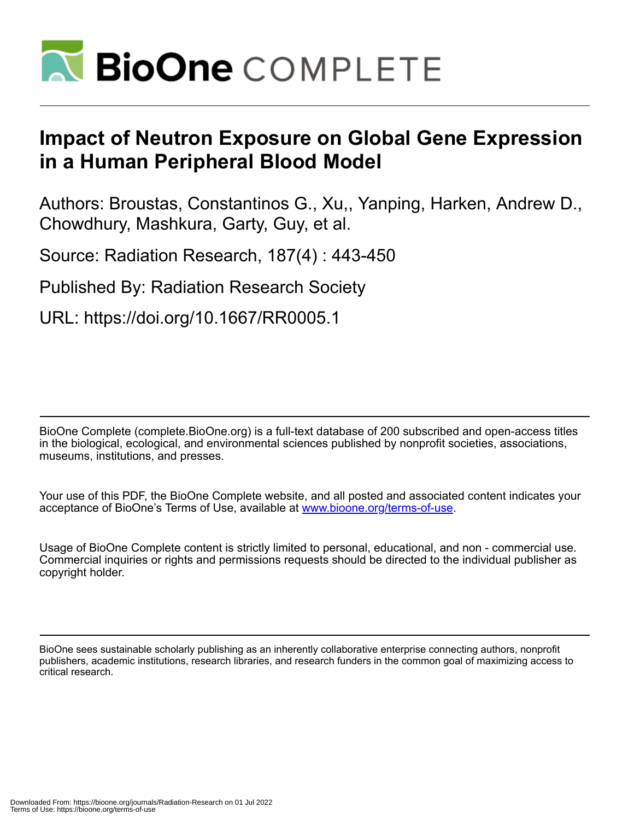

# **Impact of Neutron Exposure on Global Gene Expression in a Human Peripheral Blood Model**

Authors: Broustas, Constantinos G., Xu,, Yanping, Harken, Andrew D., Chowdhury, Mashkura, Garty, Guy, et al.

Source: Radiation Research, 187(4) : 443-450

Published By: Radiation Research Society

URL: https://doi.org/10.1667/RR0005.1

BioOne Complete (complete.BioOne.org) is a full-text database of 200 subscribed and open-access titles in the biological, ecological, and environmental sciences published by nonprofit societies, associations, museums, institutions, and presses.

Your use of this PDF, the BioOne Complete website, and all posted and associated content indicates your acceptance of BioOne's Terms of Use, available at www.bioone.org/terms-of-use.

Usage of BioOne Complete content is strictly limited to personal, educational, and non - commercial use. Commercial inquiries or rights and permissions requests should be directed to the individual publisher as copyright holder.

BioOne sees sustainable scholarly publishing as an inherently collaborative enterprise connecting authors, nonprofit publishers, academic institutions, research libraries, and research funders in the common goal of maximizing access to critical research.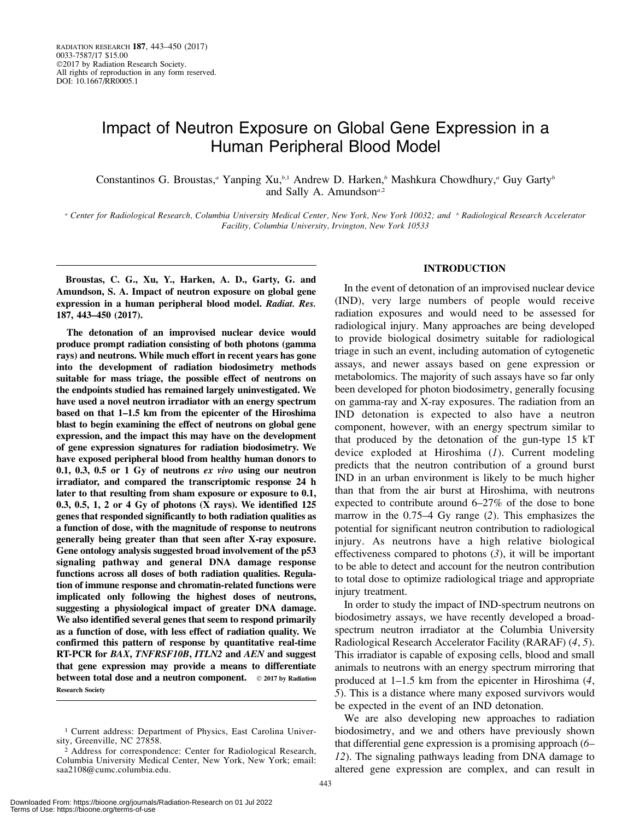# Impact of Neutron Exposure on Global Gene Expression in a Human Peripheral Blood Model

Constantinos G. Broustas,<sup>*a*</sup> Yanping Xu,<sup>*b,*1</sup> Andrew D. Harken,<sup>*b*</sup> Mashkura Chowdhury,<sup>*a*</sup> Guy Garty<sup>*b*</sup> and Sally A. Amundson $a$ ,2

a Center for Radiological Research, Columbia University Medical Center, New York, New York 10032; and b Radiological Research Accelerator Facility, Columbia University, Irvington, New York 10533

Broustas, C. G., Xu, Y., Harken, A. D., Garty, G. and Amundson, S. A. Impact of neutron exposure on global gene expression in a human peripheral blood model. Radiat. Res. 187, 443–450 (2017).

The detonation of an improvised nuclear device would produce prompt radiation consisting of both photons (gamma rays) and neutrons. While much effort in recent years has gone into the development of radiation biodosimetry methods suitable for mass triage, the possible effect of neutrons on the endpoints studied has remained largely uninvestigated. We have used a novel neutron irradiator with an energy spectrum based on that 1–1.5 km from the epicenter of the Hiroshima blast to begin examining the effect of neutrons on global gene expression, and the impact this may have on the development of gene expression signatures for radiation biodosimetry. We have exposed peripheral blood from healthy human donors to 0.1, 0.3, 0.5 or 1 Gy of neutrons ex vivo using our neutron irradiator, and compared the transcriptomic response 24 h later to that resulting from sham exposure or exposure to 0.1, 0.3, 0.5, 1, 2 or 4 Gy of photons (X rays). We identified 125 genes that responded significantly to both radiation qualities as a function of dose, with the magnitude of response to neutrons generally being greater than that seen after X-ray exposure. Gene ontology analysis suggested broad involvement of the p53 signaling pathway and general DNA damage response functions across all doses of both radiation qualities. Regulation of immune response and chromatin-related functions were implicated only following the highest doses of neutrons, suggesting a physiological impact of greater DNA damage. We also identified several genes that seem to respond primarily as a function of dose, with less effect of radiation quality. We confirmed this pattern of response by quantitative real-time RT-PCR for BAX, TNFRSF10B, ITLN2 and AEN and suggest that gene expression may provide a means to differentiate between total dose and a neutron component.  $\circ$  2017 by Radiation Research Society

# INTRODUCTION

In the event of detonation of an improvised nuclear device (IND), very large numbers of people would receive radiation exposures and would need to be assessed for radiological injury. Many approaches are being developed to provide biological dosimetry suitable for radiological triage in such an event, including automation of cytogenetic assays, and newer assays based on gene expression or metabolomics. The majority of such assays have so far only been developed for photon biodosimetry, generally focusing on gamma-ray and X-ray exposures. The radiation from an IND detonation is expected to also have a neutron component, however, with an energy spectrum similar to that produced by the detonation of the gun-type 15 kT device exploded at Hiroshima (1). Current modeling predicts that the neutron contribution of a ground burst IND in an urban environment is likely to be much higher than that from the air burst at Hiroshima, with neutrons expected to contribute around 6–27% of the dose to bone marrow in the 0.75–4 Gy range (2). This emphasizes the potential for significant neutron contribution to radiological injury. As neutrons have a high relative biological effectiveness compared to photons  $(3)$ , it will be important to be able to detect and account for the neutron contribution to total dose to optimize radiological triage and appropriate injury treatment.

In order to study the impact of IND-spectrum neutrons on biodosimetry assays, we have recently developed a broadspectrum neutron irradiator at the Columbia University Radiological Research Accelerator Facility (RARAF) (4, 5). This irradiator is capable of exposing cells, blood and small animals to neutrons with an energy spectrum mirroring that produced at 1–1.5 km from the epicenter in Hiroshima (4, 5). This is a distance where many exposed survivors would be expected in the event of an IND detonation.

We are also developing new approaches to radiation biodosimetry, and we and others have previously shown that differential gene expression is a promising approach (6– 12). The signaling pathways leading from DNA damage to altered gene expression are complex, and can result in

<sup>&</sup>lt;sup>1</sup> Current address: Department of Physics, East Carolina University, Greenville, NC 27858.

<sup>2</sup> Address for correspondence: Center for Radiological Research, Columbia University Medical Center, New York, New York; email: saa2108@cumc.columbia.edu.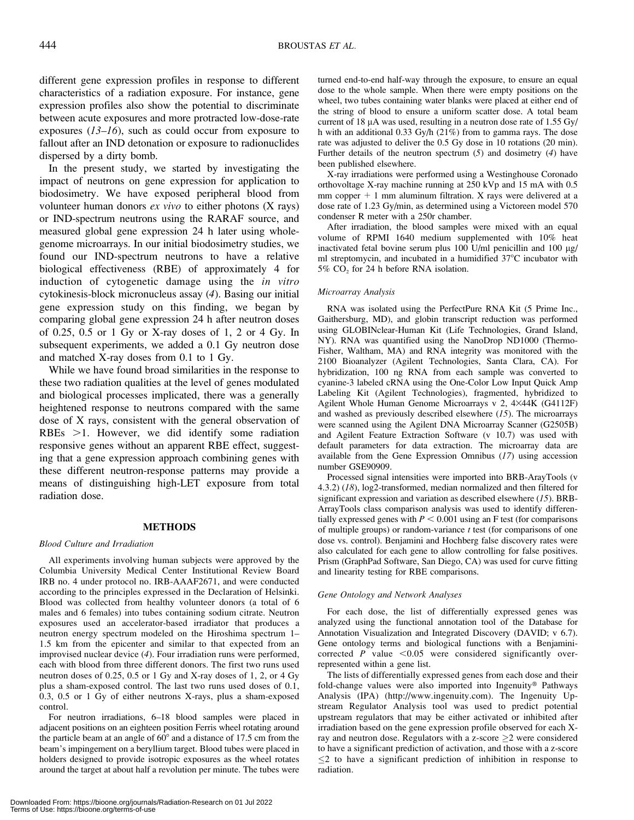different gene expression profiles in response to different characteristics of a radiation exposure. For instance, gene expression profiles also show the potential to discriminate between acute exposures and more protracted low-dose-rate exposures  $(13–16)$ , such as could occur from exposure to fallout after an IND detonation or exposure to radionuclides dispersed by a dirty bomb.

In the present study, we started by investigating the impact of neutrons on gene expression for application to biodosimetry. We have exposed peripheral blood from volunteer human donors  $ex$  vivo to either photons  $(X \text{ rays})$ or IND-spectrum neutrons using the RARAF source, and measured global gene expression 24 h later using wholegenome microarrays. In our initial biodosimetry studies, we found our IND-spectrum neutrons to have a relative biological effectiveness (RBE) of approximately 4 for induction of cytogenetic damage using the *in vitro* cytokinesis-block micronucleus assay (4). Basing our initial gene expression study on this finding, we began by comparing global gene expression 24 h after neutron doses of 0.25, 0.5 or 1 Gy or X-ray doses of 1, 2 or 4 Gy. In subsequent experiments, we added a 0.1 Gy neutron dose and matched X-ray doses from 0.1 to 1 Gy.

While we have found broad similarities in the response to these two radiation qualities at the level of genes modulated and biological processes implicated, there was a generally heightened response to neutrons compared with the same dose of X rays, consistent with the general observation of RBEs  $>1$ . However, we did identify some radiation responsive genes without an apparent RBE effect, suggesting that a gene expression approach combining genes with these different neutron-response patterns may provide a means of distinguishing high-LET exposure from total radiation dose.

# METHODS

# Blood Culture and Irradiation

All experiments involving human subjects were approved by the Columbia University Medical Center Institutional Review Board IRB no. 4 under protocol no. IRB-AAAF2671, and were conducted according to the principles expressed in the Declaration of Helsinki. Blood was collected from healthy volunteer donors (a total of 6 males and 6 females) into tubes containing sodium citrate. Neutron exposures used an accelerator-based irradiator that produces a neutron energy spectrum modeled on the Hiroshima spectrum 1– 1.5 km from the epicenter and similar to that expected from an improvised nuclear device (4). Four irradiation runs were performed, each with blood from three different donors. The first two runs used neutron doses of 0.25, 0.5 or 1 Gy and X-ray doses of 1, 2, or 4 Gy plus a sham-exposed control. The last two runs used doses of 0.1, 0.3, 0.5 or 1 Gy of either neutrons X-rays, plus a sham-exposed control.

For neutron irradiations, 6–18 blood samples were placed in adjacent positions on an eighteen position Ferris wheel rotating around the particle beam at an angle of  $60^{\circ}$  and a distance of 17.5 cm from the beam's impingement on a beryllium target. Blood tubes were placed in holders designed to provide isotropic exposures as the wheel rotates around the target at about half a revolution per minute. The tubes were

turned end-to-end half-way through the exposure, to ensure an equal dose to the whole sample. When there were empty positions on the wheel, two tubes containing water blanks were placed at either end of the string of blood to ensure a uniform scatter dose. A total beam current of 18  $\mu$ A was used, resulting in a neutron dose rate of 1.55 Gy/ h with an additional 0.33 Gy/h (21%) from to gamma rays. The dose rate was adjusted to deliver the 0.5 Gy dose in 10 rotations (20 min). Further details of the neutron spectrum  $(5)$  and dosimetry  $(4)$  have been published elsewhere.

X-ray irradiations were performed using a Westinghouse Coronado orthovoltage X-ray machine running at 250 kVp and 15 mA with 0.5 mm copper  $+1$  mm aluminum filtration. X rays were delivered at a dose rate of 1.23 Gy/min, as determined using a Victoreen model 570 condenser R meter with a 250r chamber.

After irradiation, the blood samples were mixed with an equal volume of RPMI 1640 medium supplemented with 10% heat inactivated fetal bovine serum plus  $100 \text{ U/ml}$  penicillin and  $100 \text{ µg/}$ ml streptomycin, and incubated in a humidified  $37^{\circ}$ C incubator with 5%  $CO<sub>2</sub>$  for 24 h before RNA isolation.

# Microarray Analysis

RNA was isolated using the PerfectPure RNA Kit (5 Prime Inc., Gaithersburg, MD), and globin transcript reduction was performed using GLOBINclear-Human Kit (Life Technologies, Grand Island, NY). RNA was quantified using the NanoDrop ND1000 (Thermo-Fisher, Waltham, MA) and RNA integrity was monitored with the 2100 Bioanalyzer (Agilent Technologies, Santa Clara, CA). For hybridization, 100 ng RNA from each sample was converted to cyanine-3 labeled cRNA using the One-Color Low Input Quick Amp Labeling Kit (Agilent Technologies), fragmented, hybridized to Agilent Whole Human Genome Microarrays v 2, 4×44K (G4112F) and washed as previously described elsewhere  $(15)$ . The microarrays were scanned using the Agilent DNA Microarray Scanner (G2505B) and Agilent Feature Extraction Software (v 10.7) was used with default parameters for data extraction. The microarray data are available from the Gene Expression Omnibus  $(17)$  using accession number GSE90909.

Processed signal intensities were imported into BRB-ArayTools (v 4.3.2) (18), log2-transformed, median normalized and then filtered for significant expression and variation as described elsewhere  $(15)$ . BRB-ArrayTools class comparison analysis was used to identify differentially expressed genes with  $P < 0.001$  using an F test (for comparisons of multiple groups) or random-variance  $t$  test (for comparisons of one dose vs. control). Benjamini and Hochberg false discovery rates were also calculated for each gene to allow controlling for false positives. Prism (GraphPad Software, San Diego, CA) was used for curve fitting and linearity testing for RBE comparisons.

#### Gene Ontology and Network Analyses

For each dose, the list of differentially expressed genes was analyzed using the functional annotation tool of the Database for Annotation Visualization and Integrated Discovery (DAVID; v 6.7). Gene ontology terms and biological functions with a Benjaminicorrected  $P$  value <0.05 were considered significantly overrepresented within a gene list.

The lists of differentially expressed genes from each dose and their fold-change values were also imported into Ingenuity<sup>®</sup> Pathways Analysis (IPA) (http://www.ingenuity.com). The Ingenuity Upstream Regulator Analysis tool was used to predict potential upstream regulators that may be either activated or inhibited after irradiation based on the gene expression profile observed for each Xray and neutron dose. Regulators with a z-score  $\geq$  were considered to have a significant prediction of activation, and those with a z-score  $\leq$  2 to have a significant prediction of inhibition in response to radiation.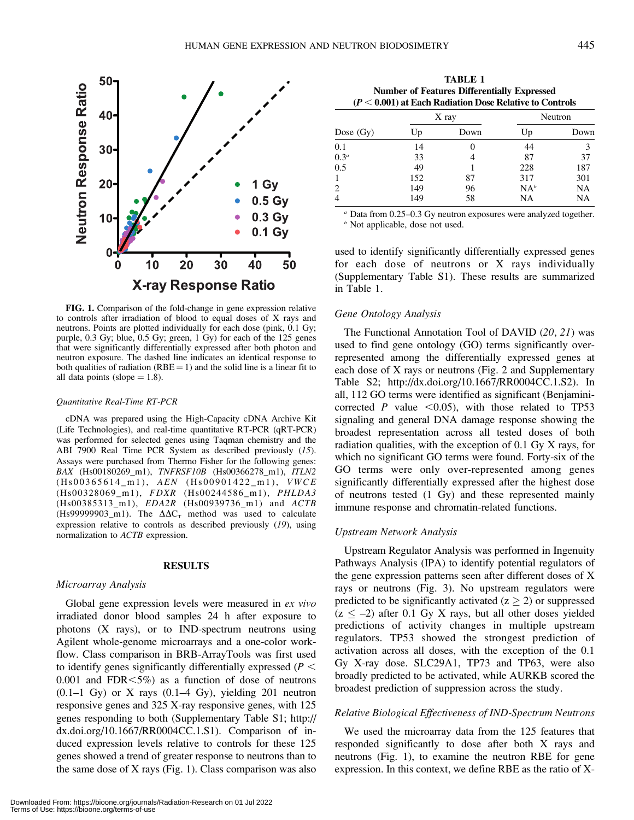

FIG. 1. Comparison of the fold-change in gene expression relative to controls after irradiation of blood to equal doses of X rays and neutrons. Points are plotted individually for each dose (pink, 0.1 Gy; purple, 0.3 Gy; blue, 0.5 Gy; green, 1 Gy) for each of the 125 genes that were significantly differentially expressed after both photon and neutron exposure. The dashed line indicates an identical response to both qualities of radiation ( $RBE = 1$ ) and the solid line is a linear fit to all data points (slope  $= 1.8$ ).

#### Quantitative Real-Time RT-PCR

cDNA was prepared using the High-Capacity cDNA Archive Kit (Life Technologies), and real-time quantitative RT-PCR (qRT-PCR) was performed for selected genes using Taqman chemistry and the ABI 7900 Real Time PCR System as described previously (15). Assays were purchased from Thermo Fisher for the following genes: BAX (Hs00180269\_m1), TNFRSF10B (Hs00366278\_m1), ITLN2 (Hs00365614\_m1), AEN (Hs00901422\_m1), VWCE (Hs00328069\_m1), FDXR (Hs00244586\_m1), PHLDA3 (Hs00385313\_m1), EDA2R (Hs00939736\_m1) and ACTB (Hs99999903 m1). The  $\Delta \Delta C_T$  method was used to calculate expression relative to controls as described previously (19), using normalization to *ACTB* expression.

# **RESULTS**

# Microarray Analysis

Global gene expression levels were measured in ex vivo irradiated donor blood samples 24 h after exposure to photons (X rays), or to IND-spectrum neutrons using Agilent whole-genome microarrays and a one-color workflow. Class comparison in BRB-ArrayTools was first used to identify genes significantly differentially expressed ( $P <$  $0.001$  and FDR $\leq 5\%$ ) as a function of dose of neutrons  $(0.1-1 \text{ Gy})$  or X rays  $(0.1-4 \text{ Gy})$ , yielding 201 neutron responsive genes and 325 X-ray responsive genes, with 125 genes responding to both (Supplementary Table S1; http:// dx.doi.org/10.1667/RR0004CC.1.S1). Comparison of induced expression levels relative to controls for these 125 genes showed a trend of greater response to neutrons than to the same dose of X rays (Fig. 1). Class comparison was also

| <b>TABLE 1</b>                                            |
|-----------------------------------------------------------|
| <b>Number of Features Differentially Expressed</b>        |
| $(P < 0.001)$ at Each Radiation Dose Relative to Controls |

| Dose $(Gy)$      | X ray |      | Neutron |           |
|------------------|-------|------|---------|-----------|
|                  | Up    | Down | Up      | Down      |
| 0.1              | 14    |      | 44      |           |
| 0.3 <sup>a</sup> | 33    |      | 87      | 37        |
| 0.5              | 49    |      | 228     | 187       |
| 1                | 152   | 87   | 317     | 301       |
| 2                | 149   | 96   | $NA^b$  | <b>NA</b> |
| $\overline{4}$   | 149   | 58   | NA      | NA        |

Data from 0.25–0.3 Gy neutron exposures were analyzed together.  $<sup>b</sup>$  Not applicable, dose not used.</sup>

used to identify significantly differentially expressed genes for each dose of neutrons or X rays individually (Supplementary Table S1). These results are summarized in Table 1.

# Gene Ontology Analysis

The Functional Annotation Tool of DAVID (20, 21) was used to find gene ontology (GO) terms significantly overrepresented among the differentially expressed genes at each dose of X rays or neutrons (Fig. 2 and Supplementary Table S2; http://dx.doi.org/10.1667/RR0004CC.1.S2). In all, 112 GO terms were identified as significant (Benjaminicorrected P value  $\leq 0.05$ , with those related to TP53 signaling and general DNA damage response showing the broadest representation across all tested doses of both radiation qualities, with the exception of 0.1 Gy X rays, for which no significant GO terms were found. Forty-six of the GO terms were only over-represented among genes significantly differentially expressed after the highest dose of neutrons tested (1 Gy) and these represented mainly immune response and chromatin-related functions.

# Upstream Network Analysis

Upstream Regulator Analysis was performed in Ingenuity Pathways Analysis (IPA) to identify potential regulators of the gene expression patterns seen after different doses of X rays or neutrons (Fig. 3). No upstream regulators were predicted to be significantly activated ( $z \ge 2$ ) or suppressed  $(z \le -2)$  after 0.1 Gy X rays, but all other doses yielded predictions of activity changes in multiple upstream regulators. TP53 showed the strongest prediction of activation across all doses, with the exception of the 0.1 Gy X-ray dose. SLC29A1, TP73 and TP63, were also broadly predicted to be activated, while AURKB scored the broadest prediction of suppression across the study.

# Relative Biological Effectiveness of IND-Spectrum Neutrons

We used the microarray data from the 125 features that responded significantly to dose after both X rays and neutrons (Fig. 1), to examine the neutron RBE for gene expression. In this context, we define RBE as the ratio of X-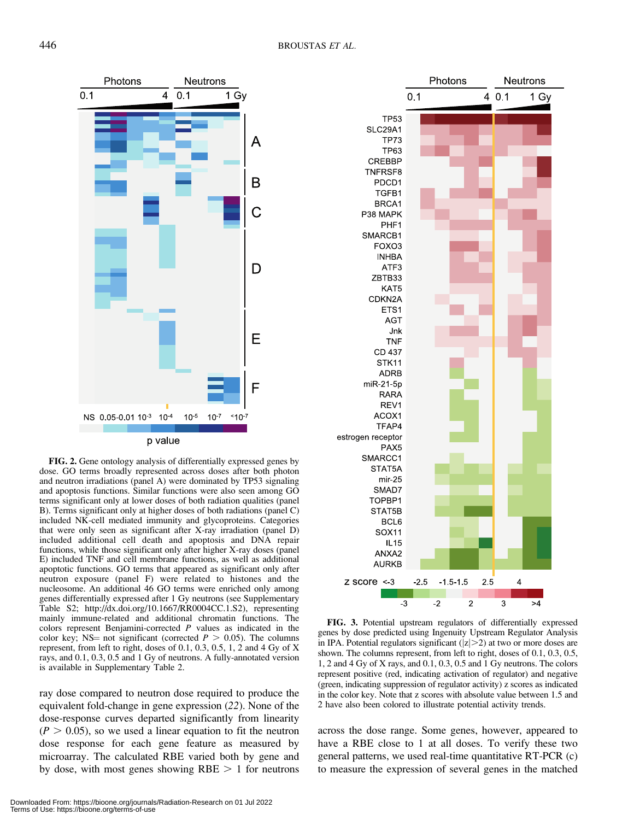

FIG. 2. Gene ontology analysis of differentially expressed genes by dose. GO terms broadly represented across doses after both photon and neutron irradiations (panel A) were dominated by TP53 signaling and apoptosis functions. Similar functions were also seen among GO terms significant only at lower doses of both radiation qualities (panel B). Terms significant only at higher doses of both radiations (panel C) included NK-cell mediated immunity and glycoproteins. Categories that were only seen as significant after X-ray irradiation (panel D) included additional cell death and apoptosis and DNA repair functions, while those significant only after higher X-ray doses (panel E) included TNF and cell membrane functions, as well as additional apoptotic functions. GO terms that appeared as significant only after neutron exposure (panel F) were related to histones and the nucleosome. An additional 46 GO terms were enriched only among genes differentially expressed after 1 Gy neutrons (see Supplementary Table S2; http://dx.doi.org/10.1667/RR0004CC.1.S2), representing mainly immune-related and additional chromatin functions. The colors represent Benjamini-corrected P values as indicated in the color key; NS= not significant (corrected  $P > 0.05$ ). The columns represent, from left to right, doses of 0.1, 0.3, 0.5, 1, 2 and 4 Gy of X rays, and 0.1, 0.3, 0.5 and 1 Gy of neutrons. A fully-annotated version is available in Supplementary Table 2.

ray dose compared to neutron dose required to produce the equivalent fold-change in gene expression (22). None of the dose-response curves departed significantly from linearity  $(P > 0.05)$ , so we used a linear equation to fit the neutron dose response for each gene feature as measured by microarray. The calculated RBE varied both by gene and by dose, with most genes showing  $RBE > 1$  for neutrons



FIG. 3. Potential upstream regulators of differentially expressed genes by dose predicted using Ingenuity Upstream Regulator Analysis in IPA. Potential regulators significant  $(|z|>2)$  at two or more doses are shown. The columns represent, from left to right, doses of 0.1, 0.3, 0.5, 1, 2 and 4 Gy of X rays, and 0.1, 0.3, 0.5 and 1 Gy neutrons. The colors represent positive (red, indicating activation of regulator) and negative (green, indicating suppression of regulator activity) z scores as indicated in the color key. Note that z scores with absolute value between 1.5 and 2 have also been colored to illustrate potential activity trends.

across the dose range. Some genes, however, appeared to have a RBE close to 1 at all doses. To verify these two general patterns, we used real-time quantitative RT-PCR (c) to measure the expression of several genes in the matched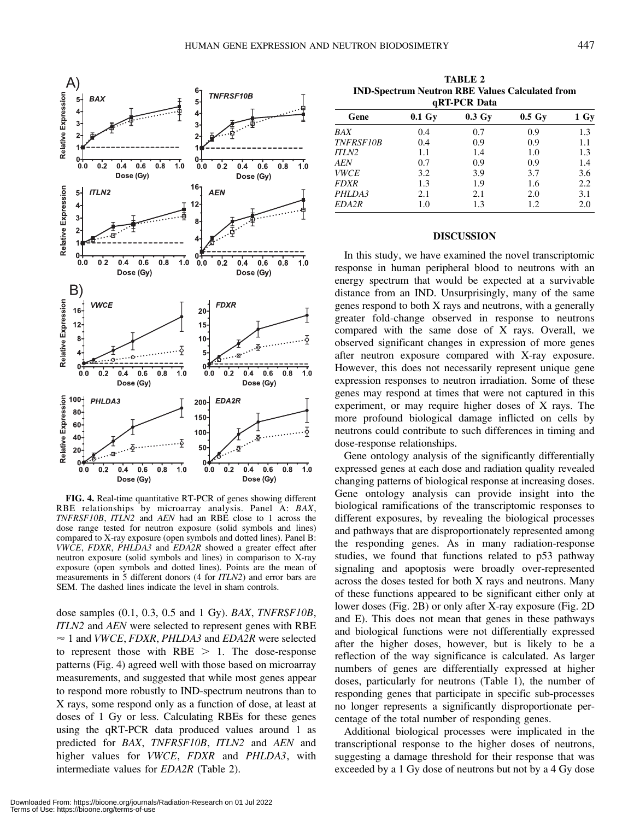

FIG. 4. Real-time quantitative RT-PCR of genes showing different RBE relationships by microarray analysis. Panel A: BAX, TNFRSF10B, ITLN2 and AEN had an RBE close to 1 across the dose range tested for neutron exposure (solid symbols and lines) compared to X-ray exposure (open symbols and dotted lines). Panel B: VWCE, FDXR, PHLDA3 and EDA2R showed a greater effect after neutron exposure (solid symbols and lines) in comparison to X-ray exposure (open symbols and dotted lines). Points are the mean of measurements in 5 different donors (4 for ITLN2) and error bars are SEM. The dashed lines indicate the level in sham controls.

dose samples (0.1, 0.3, 0.5 and 1 Gy). BAX, TNFRSF10B, ITLN2 and AEN were selected to represent genes with RBE  $\approx$  1 and VWCE, FDXR, PHLDA3 and EDA2R were selected to represent those with  $RBE > 1$ . The dose-response patterns (Fig. 4) agreed well with those based on microarray measurements, and suggested that while most genes appear to respond more robustly to IND-spectrum neutrons than to X rays, some respond only as a function of dose, at least at doses of 1 Gy or less. Calculating RBEs for these genes using the qRT-PCR data produced values around 1 as predicted for BAX, TNFRSF10B, ITLN2 and AEN and higher values for VWCE, FDXR and PHLDA3, with intermediate values for EDA2R (Table 2).

TABLE 2 IND-Spectrum Neutron RBE Values Calculated from qRT-PCR Data

| YNT'I UN DAIA      |           |                    |      |  |  |  |  |
|--------------------|-----------|--------------------|------|--|--|--|--|
| $0.1\;\mathrm{Gy}$ | $0.3\ Gy$ | $0.5\;\mathrm{Gy}$ | 1 Gy |  |  |  |  |
| 0.4                | 0.7       | 0.9                | 1.3  |  |  |  |  |
| 0.4                | 0.9       | 0.9                | 1.1  |  |  |  |  |
| 1.1                | 1.4       | 1.0                | 1.3  |  |  |  |  |
| 0.7                | 0.9       | 0.9                | 1.4  |  |  |  |  |
| 3.2                | 3.9       | 3.7                | 3.6  |  |  |  |  |
| 1.3                | 1.9       | 1.6                | 2.2  |  |  |  |  |
| 2.1                | 2.1       | 2.0                | 3.1  |  |  |  |  |
| 1.0                | 1.3       | 1.2                | 2.0  |  |  |  |  |
|                    |           |                    |      |  |  |  |  |

# DISCUSSION

In this study, we have examined the novel transcriptomic response in human peripheral blood to neutrons with an energy spectrum that would be expected at a survivable distance from an IND. Unsurprisingly, many of the same genes respond to both X rays and neutrons, with a generally greater fold-change observed in response to neutrons compared with the same dose of X rays. Overall, we observed significant changes in expression of more genes after neutron exposure compared with X-ray exposure. However, this does not necessarily represent unique gene expression responses to neutron irradiation. Some of these genes may respond at times that were not captured in this experiment, or may require higher doses of X rays. The more profound biological damage inflicted on cells by neutrons could contribute to such differences in timing and dose-response relationships.

Gene ontology analysis of the significantly differentially expressed genes at each dose and radiation quality revealed changing patterns of biological response at increasing doses. Gene ontology analysis can provide insight into the biological ramifications of the transcriptomic responses to different exposures, by revealing the biological processes and pathways that are disproportionately represented among the responding genes. As in many radiation-response studies, we found that functions related to p53 pathway signaling and apoptosis were broadly over-represented across the doses tested for both X rays and neutrons. Many of these functions appeared to be significant either only at lower doses (Fig. 2B) or only after X-ray exposure (Fig. 2D and E). This does not mean that genes in these pathways and biological functions were not differentially expressed after the higher doses, however, but is likely to be a reflection of the way significance is calculated. As larger numbers of genes are differentially expressed at higher doses, particularly for neutrons (Table 1), the number of responding genes that participate in specific sub-processes no longer represents a significantly disproportionate percentage of the total number of responding genes.

Additional biological processes were implicated in the transcriptional response to the higher doses of neutrons, suggesting a damage threshold for their response that was exceeded by a 1 Gy dose of neutrons but not by a 4 Gy dose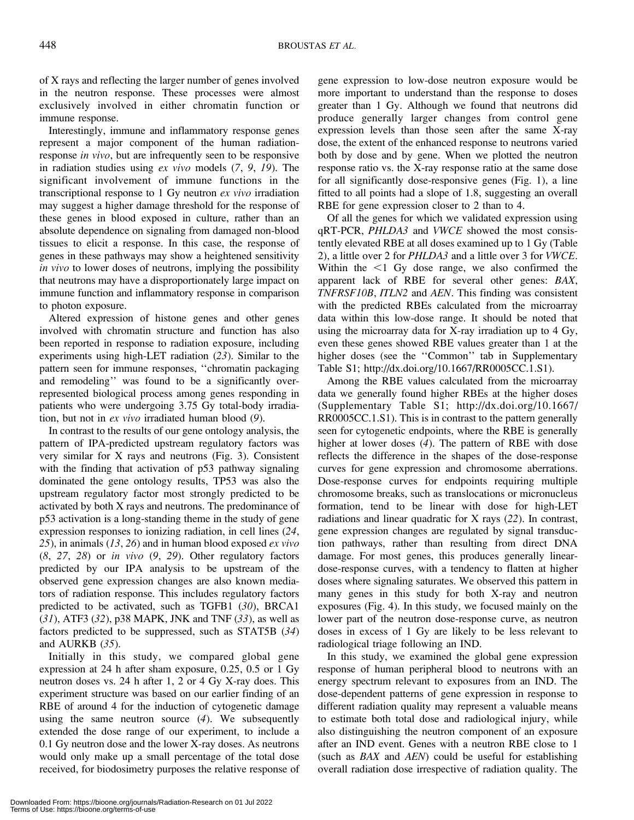of X rays and reflecting the larger number of genes involved in the neutron response. These processes were almost exclusively involved in either chromatin function or immune response.

Interestingly, immune and inflammatory response genes represent a major component of the human radiationresponse in vivo, but are infrequently seen to be responsive in radiation studies using ex vivo models (7, 9, 19). The significant involvement of immune functions in the transcriptional response to 1 Gy neutron ex vivo irradiation may suggest a higher damage threshold for the response of these genes in blood exposed in culture, rather than an absolute dependence on signaling from damaged non-blood tissues to elicit a response. In this case, the response of genes in these pathways may show a heightened sensitivity in vivo to lower doses of neutrons, implying the possibility that neutrons may have a disproportionately large impact on immune function and inflammatory response in comparison to photon exposure.

Altered expression of histone genes and other genes involved with chromatin structure and function has also been reported in response to radiation exposure, including experiments using high-LET radiation (23). Similar to the pattern seen for immune responses, ''chromatin packaging and remodeling'' was found to be a significantly overrepresented biological process among genes responding in patients who were undergoing 3.75 Gy total-body irradiation, but not in ex vivo irradiated human blood (9).

In contrast to the results of our gene ontology analysis, the pattern of IPA-predicted upstream regulatory factors was very similar for X rays and neutrons (Fig. 3). Consistent with the finding that activation of p53 pathway signaling dominated the gene ontology results, TP53 was also the upstream regulatory factor most strongly predicted to be activated by both X rays and neutrons. The predominance of p53 activation is a long-standing theme in the study of gene expression responses to ionizing radiation, in cell lines (24, 25), in animals  $(13, 26)$  and in human blood exposed *ex vivo*  $(8, 27, 28)$  or *in vivo*  $(9, 29)$ . Other regulatory factors predicted by our IPA analysis to be upstream of the observed gene expression changes are also known mediators of radiation response. This includes regulatory factors predicted to be activated, such as TGFB1 (30), BRCA1  $(31)$ , ATF3  $(32)$ , p38 MAPK, JNK and TNF  $(33)$ , as well as factors predicted to be suppressed, such as STAT5B (34) and AURKB (35).

Initially in this study, we compared global gene expression at 24 h after sham exposure, 0.25, 0.5 or 1 Gy neutron doses vs. 24 h after 1, 2 or 4 Gy X-ray does. This experiment structure was based on our earlier finding of an RBE of around 4 for the induction of cytogenetic damage using the same neutron source  $(4)$ . We subsequently extended the dose range of our experiment, to include a 0.1 Gy neutron dose and the lower X-ray doses. As neutrons would only make up a small percentage of the total dose received, for biodosimetry purposes the relative response of gene expression to low-dose neutron exposure would be more important to understand than the response to doses greater than 1 Gy. Although we found that neutrons did produce generally larger changes from control gene expression levels than those seen after the same X-ray dose, the extent of the enhanced response to neutrons varied both by dose and by gene. When we plotted the neutron response ratio vs. the X-ray response ratio at the same dose for all significantly dose-responsive genes (Fig. 1), a line fitted to all points had a slope of 1.8, suggesting an overall RBE for gene expression closer to 2 than to 4.

Of all the genes for which we validated expression using qRT-PCR, PHLDA3 and VWCE showed the most consistently elevated RBE at all doses examined up to 1 Gy (Table 2), a little over 2 for PHLDA3 and a little over 3 for VWCE. Within the  $\leq 1$  Gy dose range, we also confirmed the apparent lack of RBE for several other genes: BAX, TNFRSF10B, ITLN2 and AEN. This finding was consistent with the predicted RBEs calculated from the microarray data within this low-dose range. It should be noted that using the microarray data for X-ray irradiation up to 4 Gy, even these genes showed RBE values greater than 1 at the higher doses (see the ''Common'' tab in Supplementary Table S1; http://dx.doi.org/10.1667/RR0005CC.1.S1).

Among the RBE values calculated from the microarray data we generally found higher RBEs at the higher doses (Supplementary Table S1; http://dx.doi.org/10.1667/ RR0005CC.1.S1). This is in contrast to the pattern generally seen for cytogenetic endpoints, where the RBE is generally higher at lower doses (4). The pattern of RBE with dose reflects the difference in the shapes of the dose-response curves for gene expression and chromosome aberrations. Dose-response curves for endpoints requiring multiple chromosome breaks, such as translocations or micronucleus formation, tend to be linear with dose for high-LET radiations and linear quadratic for X rays (22). In contrast, gene expression changes are regulated by signal transduction pathways, rather than resulting from direct DNA damage. For most genes, this produces generally lineardose-response curves, with a tendency to flatten at higher doses where signaling saturates. We observed this pattern in many genes in this study for both X-ray and neutron exposures (Fig. 4). In this study, we focused mainly on the lower part of the neutron dose-response curve, as neutron doses in excess of 1 Gy are likely to be less relevant to radiological triage following an IND.

In this study, we examined the global gene expression response of human peripheral blood to neutrons with an energy spectrum relevant to exposures from an IND. The dose-dependent patterns of gene expression in response to different radiation quality may represent a valuable means to estimate both total dose and radiological injury, while also distinguishing the neutron component of an exposure after an IND event. Genes with a neutron RBE close to 1 (such as BAX and AEN) could be useful for establishing overall radiation dose irrespective of radiation quality. The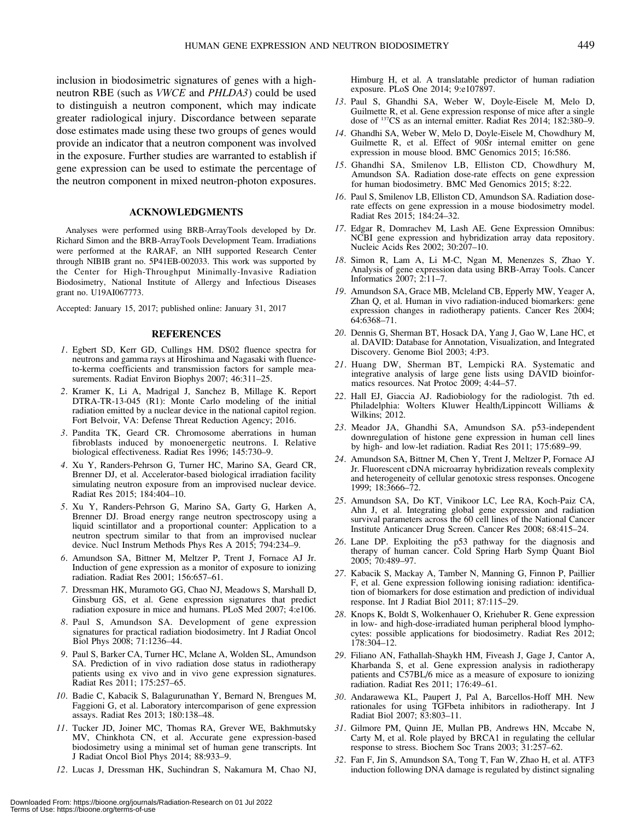inclusion in biodosimetric signatures of genes with a highneutron RBE (such as VWCE and PHLDA3) could be used to distinguish a neutron component, which may indicate greater radiological injury. Discordance between separate dose estimates made using these two groups of genes would provide an indicator that a neutron component was involved in the exposure. Further studies are warranted to establish if gene expression can be used to estimate the percentage of the neutron component in mixed neutron-photon exposures.

#### ACKNOWLEDGMENTS

Analyses were performed using BRB-ArrayTools developed by Dr. Richard Simon and the BRB-ArrayTools Development Team. Irradiations were performed at the RARAF, an NIH supported Research Center through NIBIB grant no. 5P41EB-002033. This work was supported by the Center for High-Throughput Minimally-Invasive Radiation Biodosimetry, National Institute of Allergy and Infectious Diseases grant no. U19AI067773.

Accepted: January 15, 2017; published online: January 31, 2017

# REFERENCES

- 1. Egbert SD, Kerr GD, Cullings HM. DS02 fluence spectra for neutrons and gamma rays at Hiroshima and Nagasaki with fluenceto-kerma coefficients and transmission factors for sample measurements. Radiat Environ Biophys 2007; 46:311–25.
- 2. Kramer K, Li A, Madrigal J, Sanchez B, Millage K. Report DTRA-TR-13-045 (R1): Monte Carlo modeling of the initial radiation emitted by a nuclear device in the national capitol region. Fort Belvoir, VA: Defense Threat Reduction Agency; 2016.
- 3. Pandita TK, Geard CR. Chromosome aberrations in human fibroblasts induced by monoenergetic neutrons. I. Relative biological effectiveness. Radiat Res 1996; 145:730–9.
- 4. Xu Y, Randers-Pehrson G, Turner HC, Marino SA, Geard CR, Brenner DJ, et al. Accelerator-based biological irradiation facility simulating neutron exposure from an improvised nuclear device. Radiat Res 2015; 184:404–10.
- 5. Xu Y, Randers-Pehrson G, Marino SA, Garty G, Harken A, Brenner DJ. Broad energy range neutron spectroscopy using a liquid scintillator and a proportional counter: Application to a neutron spectrum similar to that from an improvised nuclear device. Nucl Instrum Methods Phys Res A 2015; 794:234–9.
- 6. Amundson SA, Bittner M, Meltzer P, Trent J, Fornace AJ Jr. Induction of gene expression as a monitor of exposure to ionizing radiation. Radiat Res 2001; 156:657–61.
- 7. Dressman HK, Muramoto GG, Chao NJ, Meadows S, Marshall D, Ginsburg GS, et al. Gene expression signatures that predict radiation exposure in mice and humans. PLoS Med 2007; 4:e106.
- 8. Paul S, Amundson SA. Development of gene expression signatures for practical radiation biodosimetry. Int J Radiat Oncol Biol Phys 2008; 71:1236–44.
- 9. Paul S, Barker CA, Turner HC, Mclane A, Wolden SL, Amundson SA. Prediction of in vivo radiation dose status in radiotherapy patients using ex vivo and in vivo gene expression signatures. Radiat Res 2011; 175:257–65.
- 10. Badie C, Kabacik S, Balagurunathan Y, Bernard N, Brengues M, Faggioni G, et al. Laboratory intercomparison of gene expression assays. Radiat Res 2013; 180:138–48.
- 11. Tucker JD, Joiner MC, Thomas RA, Grever WE, Bakhmutsky MV, Chinkhota CN, et al. Accurate gene expression-based biodosimetry using a minimal set of human gene transcripts. Int J Radiat Oncol Biol Phys 2014; 88:933–9.
- 12. Lucas J, Dressman HK, Suchindran S, Nakamura M, Chao NJ,

Himburg H, et al. A translatable predictor of human radiation exposure. PLoS One 2014; 9:e107897.

- 13. Paul S, Ghandhi SA, Weber W, Doyle-Eisele M, Melo D, Guilmette R, et al. Gene expression response of mice after a single dose of 137CS as an internal emitter. Radiat Res 2014; 182:380–9.
- 14. Ghandhi SA, Weber W, Melo D, Doyle-Eisele M, Chowdhury M, Guilmette R, et al. Effect of 90Sr internal emitter on gene expression in mouse blood. BMC Genomics 2015; 16:586.
- 15. Ghandhi SA, Smilenov LB, Elliston CD, Chowdhury M, Amundson SA. Radiation dose-rate effects on gene expression for human biodosimetry. BMC Med Genomics 2015; 8:22.
- 16. Paul S, Smilenov LB, Elliston CD, Amundson SA. Radiation doserate effects on gene expression in a mouse biodosimetry model. Radiat Res 2015; 184:24–32.
- 17. Edgar R, Domrachev M, Lash AE. Gene Expression Omnibus: NCBI gene expression and hybridization array data repository. Nucleic Acids Res 2002; 30:207–10.
- 18. Simon R, Lam A, Li M-C, Ngan M, Menenzes S, Zhao Y. Analysis of gene expression data using BRB-Array Tools. Cancer Informatics 2007; 2:11–7.
- 19. Amundson SA, Grace MB, Mcleland CB, Epperly MW, Yeager A, Zhan Q, et al. Human in vivo radiation-induced biomarkers: gene expression changes in radiotherapy patients. Cancer Res 2004; 64:6368–71.
- 20. Dennis G, Sherman BT, Hosack DA, Yang J, Gao W, Lane HC, et al. DAVID: Database for Annotation, Visualization, and Integrated Discovery. Genome Biol 2003; 4:P3.
- 21. Huang DW, Sherman BT, Lempicki RA. Systematic and integrative analysis of large gene lists using DAVID bioinformatics resources. Nat Protoc 2009; 4:44–57.
- 22. Hall EJ, Giaccia AJ. Radiobiology for the radiologist. 7th ed. Philadelphia: Wolters Kluwer Health/Lippincott Williams & Wilkins; 2012.
- 23. Meador JA, Ghandhi SA, Amundson SA. p53-independent downregulation of histone gene expression in human cell lines by high- and low-let radiation. Radiat Res 2011; 175:689–99.
- 24. Amundson SA, Bittner M, Chen Y, Trent J, Meltzer P, Fornace AJ Jr. Fluorescent cDNA microarray hybridization reveals complexity and heterogeneity of cellular genotoxic stress responses. Oncogene 1999; 18:3666–72.
- 25. Amundson SA, Do KT, Vinikoor LC, Lee RA, Koch-Paiz CA, Ahn J, et al. Integrating global gene expression and radiation survival parameters across the 60 cell lines of the National Cancer Institute Anticancer Drug Screen. Cancer Res 2008; 68:415–24.
- 26. Lane DP. Exploiting the p53 pathway for the diagnosis and therapy of human cancer. Cold Spring Harb Symp Quant Biol 2005; 70:489–97.
- 27. Kabacik S, Mackay A, Tamber N, Manning G, Finnon P, Paillier F, et al. Gene expression following ionising radiation: identification of biomarkers for dose estimation and prediction of individual response. Int J Radiat Biol 2011; 87:115–29.
- 28. Knops K, Boldt S, Wolkenhauer O, Kriehuber R. Gene expression in low- and high-dose-irradiated human peripheral blood lymphocytes: possible applications for biodosimetry. Radiat Res 2012; 178:304–12.
- 29. Filiano AN, Fathallah-Shaykh HM, Fiveash J, Gage J, Cantor A, Kharbanda S, et al. Gene expression analysis in radiotherapy patients and C57BL/6 mice as a measure of exposure to ionizing radiation. Radiat Res 2011; 176:49–61.
- 30. Andarawewa KL, Paupert J, Pal A, Barcellos-Hoff MH. New rationales for using TGFbeta inhibitors in radiotherapy. Int J Radiat Biol 2007; 83:803–11.
- 31. Gilmore PM, Quinn JE, Mullan PB, Andrews HN, Mccabe N, Carty M, et al. Role played by BRCA1 in regulating the cellular response to stress. Biochem Soc Trans 2003; 31:257–62.
- 32. Fan F, Jin S, Amundson SA, Tong T, Fan W, Zhao H, et al. ATF3 induction following DNA damage is regulated by distinct signaling